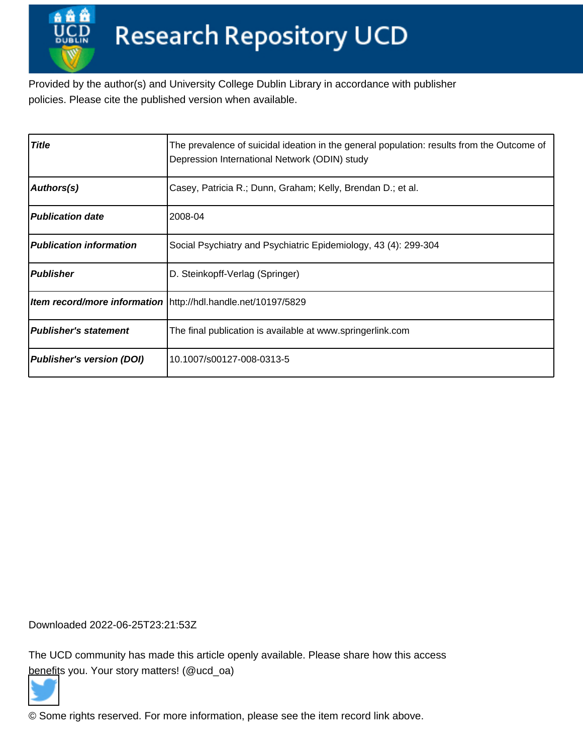Provided by the author(s) and University College Dublin Library in accordance with publisher policies. Please cite the published version when available.

| <b>Title</b>                     | The prevalence of suicidal ideation in the general population: results from the Outcome of<br>Depression International Network (ODIN) study |
|----------------------------------|---------------------------------------------------------------------------------------------------------------------------------------------|
| Authors(s)                       | Casey, Patricia R.; Dunn, Graham; Kelly, Brendan D.; et al.                                                                                 |
| <b>Publication date</b>          | 2008-04                                                                                                                                     |
| <b>Publication information</b>   | Social Psychiatry and Psychiatric Epidemiology, 43 (4): 299-304                                                                             |
| <b>Publisher</b>                 | D. Steinkopff-Verlag (Springer)                                                                                                             |
|                                  | <b>Item record/more information</b> http://hdl.handle.net/10197/5829                                                                        |
| <b>Publisher's statement</b>     | The final publication is available at www.springerlink.com                                                                                  |
| <b>Publisher's version (DOI)</b> | 10.1007/s00127-008-0313-5                                                                                                                   |

Downloaded 2022-06-25T23:21:53Z

The UCD community has made this article openly available. Please share how this access [benefit](https://twitter.com/intent/tweet?via=ucd_oa&text=DOI%3A10.1007%2Fs00127-008-0313-5&url=http%3A%2F%2Fhdl.handle.net%2F10197%2F5829)s you. Your story matters! (@ucd\_oa)



© Some rights reserved. For more information, please see the item record link above.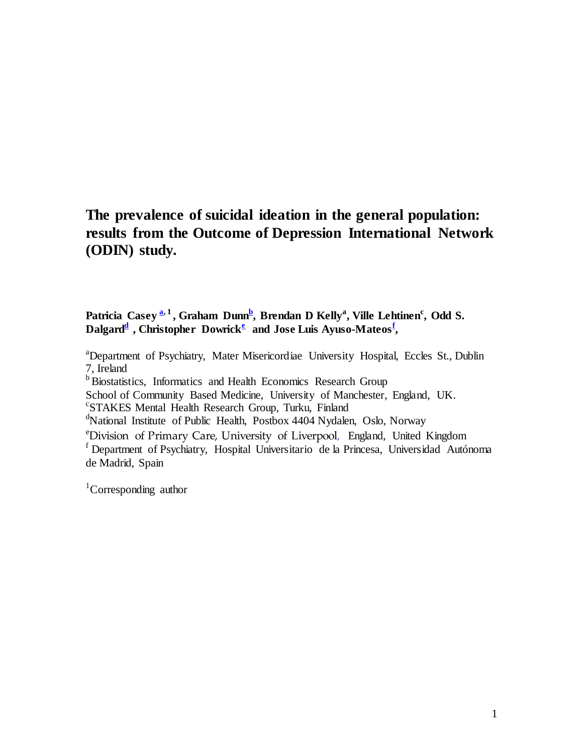# **The prevalence of suicidal ideation in the general population: results from the Outcome of Depression International Network (ODIN) study.**

### **Patricia Casey [a,](http://www.sciencedirect.com/science?_ob=ArticleURL&_aset=V-WA-A-W-WE-MsSWYVW-UUW-U-AACZUYCUZB-AACBZZCYZB-AZBZUYBE-WE-U&_rdoc=2&_fmt=full&_udi=B6T2X-4JD0GWR-1&_coverDate=06%2F30%2F2006&_cdi=4930&_orig=search&_st=13&_sort=d&view=c&_acct=C000050221&_version=1&_urlVersion=0&_userid=10&md5=4e845a03f4b8706ab850db1560d247dc#aff1#aff1) 1 , Graham Dunn<sup>b</sup> [,](http://www.sciencedirect.com/science?_ob=ArticleURL&_aset=V-WA-A-W-WE-MsSWYVW-UUW-U-AACZUYCUZB-AACBZZCYZB-AZBZUYBE-WE-U&_rdoc=2&_fmt=full&_udi=B6T2X-4JD0GWR-1&_coverDate=06%2F30%2F2006&_cdi=4930&_orig=search&_st=13&_sort=d&view=c&_acct=C000050221&_version=1&_urlVersion=0&_userid=10&md5=4e845a03f4b8706ab850db1560d247dc#aff2#aff2) Brendan D Kelly<sup>a</sup> , Ville Lehtinen<sup>c</sup> , Odd S. Dalgard<sup>d</sup> , Christopher Dowrick<sup>e</sup> and Jose Luis Ayuso-Mateos<sup>f</sup> ,**

<sup>a</sup>Department of Psychiatry, Mater Misericordiae University Hospital, Eccles St., Dublin 7, Ireland <sup>b</sup> Biostatistics, Informatics and Health Economics Research Group School of Community Based Medicine, University of Manchester, England, UK. c STAKES Mental Health Research Group, Turku, Finland <sup>d</sup>National Institute of Public Health, Postbox 4404 Nydalen, Oslo, Norway <sup>e</sup>Division of Primary Care, University of Liverpool, England, United Kingdom <sup>f</sup> Department of Psychiatry, Hospital Universitario de la Princesa, Universidad Autónoma de Madrid, Spain

<sup>1</sup>Corresponding author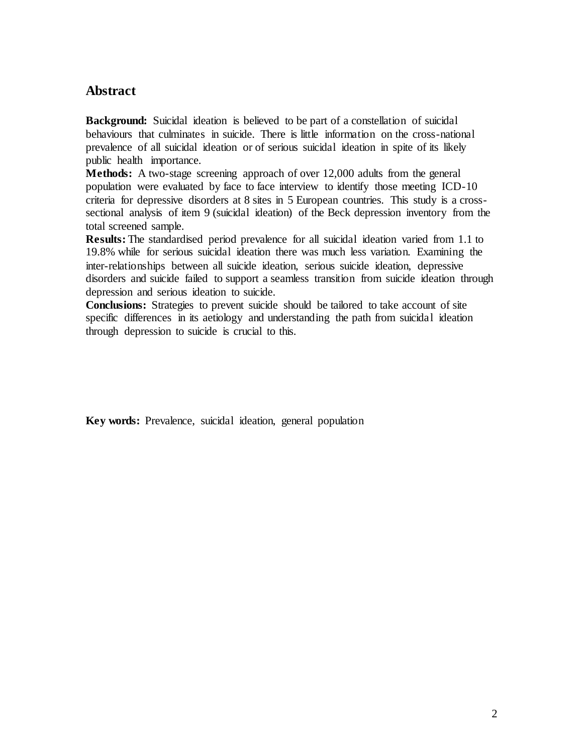# **Abstract**

**Background:** Suicidal ideation is believed to be part of a constellation of suicidal behaviours that culminates in suicide. There is little information on the cross-national prevalence of all suicidal ideation or of serious suicidal ideation in spite of its likely public health importance.

**Methods:** A two-stage screening approach of over 12,000 adults from the general population were evaluated by face to face interview to identify those meeting ICD-10 criteria for depressive disorders at 8 sites in 5 European countries. This study is a crosssectional analysis of item 9 (suicidal ideation) of the Beck depression inventory from the total screened sample.

**Results:** The standardised period prevalence for all suicidal ideation varied from 1.1 to 19.8% while for serious suicidal ideation there was much less variation. Examining the inter-relationships between all suicide ideation, serious suicide ideation, depressive disorders and suicide failed to support a seamless transition from suicide ideation through depression and serious ideation to suicide.

**Conclusions:** Strategies to prevent suicide should be tailored to take account of site specific differences in its aetiology and understanding the path from suicidal ideation through depression to suicide is crucial to this.

**Key words:** Prevalence, suicidal ideation, general population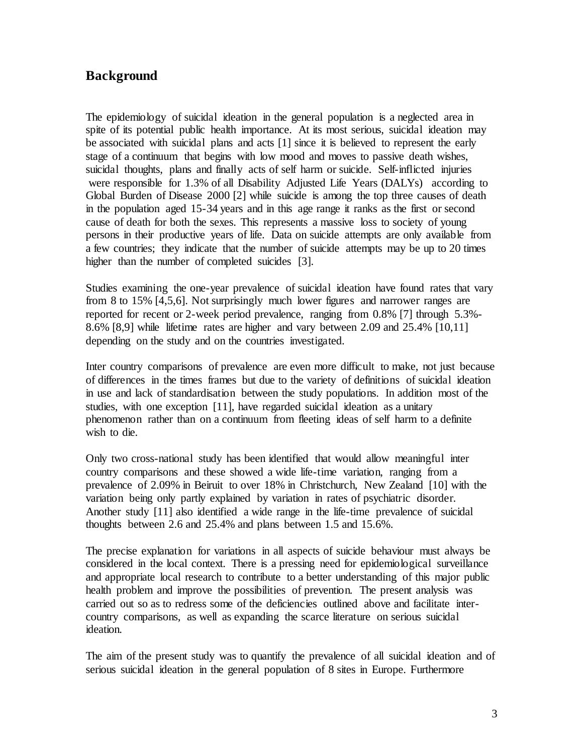# **Background**

The epidemiology of suicidal ideation in the general population is a neglected area in spite of its potential public health importance. At its most serious, suicidal ideation may be associated with suicidal plans and acts [1] since it is believed to represent the early stage of a continuum that begins with low mood and moves to passive death wishes, suicidal thoughts, plans and finally acts of self harm or suicide. Self-inflicted injuries were responsible for 1.3% of all Disability Adjusted Life Years (DALYs) according to Global Burden of Disease 2000 [2] while suicide is among the top three causes of death in the population aged 15-34 years and in this age range it ranks as the first or second cause of death for both the sexes. This represents a massive loss to society of young persons in their productive years of life. Data on suicide attempts are only available from a few countries; they indicate that the number of suicide attempts may be up to 20 times higher than the number of completed suicides [3].

Studies examining the one-year prevalence of suicidal ideation have found rates that vary from 8 to 15% [4,5,6]. Not surprisingly much lower figures and narrower ranges are reported for recent or 2-week period prevalence, ranging from 0.8% [7] through 5.3%- 8.6% [8,9] while lifetime rates are higher and vary between 2.09 and 25.4% [10,11] depending on the study and on the countries investigated.

Inter country comparisons of prevalence are even more difficult to make, not just because of differences in the times frames but due to the variety of definitions of suicidal ideation in use and lack of standardisation between the study populations. In addition most of the studies, with one exception [11], have regarded suicidal ideation as a unitary phenomenon rather than on a continuum from fleeting ideas of self harm to a definite wish to die.

Only two cross-national study has been identified that would allow meaningful inter country comparisons and these showed a wide life-time variation, ranging from a prevalence of 2.09% in Beiruit to over 18% in Christchurch, New Zealand [10] with the variation being only partly explained by variation in rates of psychiatric disorder. Another study [11] also identified a wide range in the life-time prevalence of suicidal thoughts between 2.6 and 25.4% and plans between 1.5 and 15.6%.

The precise explanation for variations in all aspects of suicide behaviour must always be considered in the local context. There is a pressing need for epidemiological surveillance and appropriate local research to contribute to a better understanding of this major public health problem and improve the possibilities of prevention. The present analysis was carried out so as to redress some of the deficiencies outlined above and facilitate intercountry comparisons, as well as expanding the scarce literature on serious suicidal ideation.

The aim of the present study was to quantify the prevalence of all suicidal ideation and of serious suicidal ideation in the general population of 8 sites in Europe. Furthermore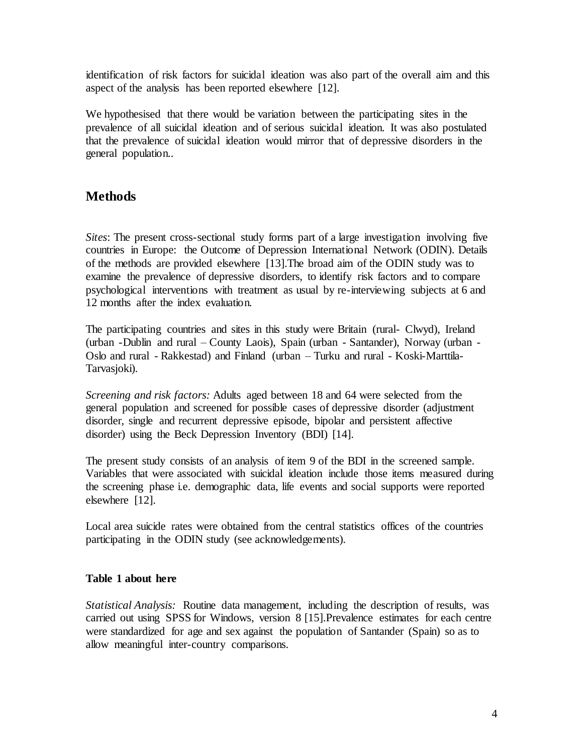identification of risk factors for suicidal ideation was also part of the overall aim and this aspect of the analysis has been reported elsewhere [12].

We hypothesised that there would be variation between the participating sites in the prevalence of all suicidal ideation and of serious suicidal ideation. It was also postulated that the prevalence of suicidal ideation would mirror that of depressive disorders in the general population..

# **Methods**

*Sites*: The present cross-sectional study forms part of a large investigation involving five countries in Europe: the Outcome of Depression International Network (ODIN). Details of the methods are provided elsewhere [13].The broad aim of the ODIN study was to examine the prevalence of depressive disorders, to identify risk factors and to compare psychological interventions with treatment as usual by re-interviewing subjects at 6 and 12 months after the index evaluation.

The participating countries and sites in this study were Britain (rural- Clwyd), Ireland (urban -Dublin and rural – County Laois), Spain (urban - Santander), Norway (urban - Oslo and rural - Rakkestad) and Finland (urban – Turku and rural - Koski-Marttila-Tarvasjoki).

*Screening and risk factors:* Adults aged between 18 and 64 were selected from the general population and screened for possible cases of depressive disorder (adjustment disorder, single and recurrent depressive episode, bipolar and persistent affective disorder) using the Beck Depression Inventory (BDI) [14].

The present study consists of an analysis of item 9 of the BDI in the screened sample. Variables that were associated with suicidal ideation include those items measured during the screening phase i.e. demographic data, life events and social supports were reported elsewhere [12].

Local area suicide rates were obtained from the central statistics offices of the countries participating in the ODIN study (see acknowledgements).

### **Table 1 about here**

*Statistical Analysis:* Routine data management, including the description of results, was carried out using SPSS for Windows, version 8 [15].Prevalence estimates for each centre were standardized for age and sex against the population of Santander (Spain) so as to allow meaningful inter-country comparisons.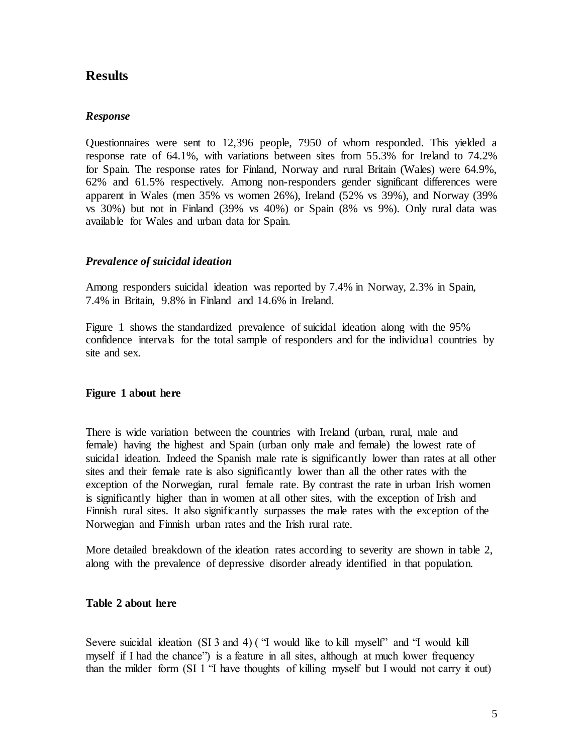## **Results**

#### *Response*

Questionnaires were sent to 12,396 people, 7950 of whom responded. This yielded a response rate of 64.1%, with variations between sites from 55.3% for Ireland to 74.2% for Spain. The response rates for Finland, Norway and rural Britain (Wales) were 64.9%, 62% and 61.5% respectively. Among non-responders gender significant differences were apparent in Wales (men 35% vs women 26%), Ireland (52% vs 39%), and Norway (39% vs 30%) but not in Finland (39% vs 40%) or Spain (8% vs 9%). Only rural data was available for Wales and urban data for Spain.

#### *Prevalence of suicidal ideation*

Among responders suicidal ideation was reported by 7.4% in Norway, 2.3% in Spain, 7.4% in Britain, 9.8% in Finland and 14.6% in Ireland.

Figure 1 shows the standardized prevalence of suicidal ideation along with the 95% confidence intervals for the total sample of responders and for the individual countries by site and sex.

#### **Figure 1 about here**

There is wide variation between the countries with Ireland (urban, rural, male and female) having the highest and Spain (urban only male and female) the lowest rate of suicidal ideation. Indeed the Spanish male rate is significantly lower than rates at all other sites and their female rate is also significantly lower than all the other rates with the exception of the Norwegian, rural female rate. By contrast the rate in urban Irish women is significantly higher than in women at all other sites, with the exception of Irish and Finnish rural sites. It also significantly surpasses the male rates with the exception of the Norwegian and Finnish urban rates and the Irish rural rate.

More detailed breakdown of the ideation rates according to severity are shown in table 2, along with the prevalence of depressive disorder already identified in that population.

#### **Table 2 about here**

Severe suicidal ideation (SI 3 and 4) ("I would like to kill myself" and "I would kill myself if I had the chance") is a feature in all sites, although at much lower frequency than the milder form (SI 1 "I have thoughts of killing myself but I would not carry it out)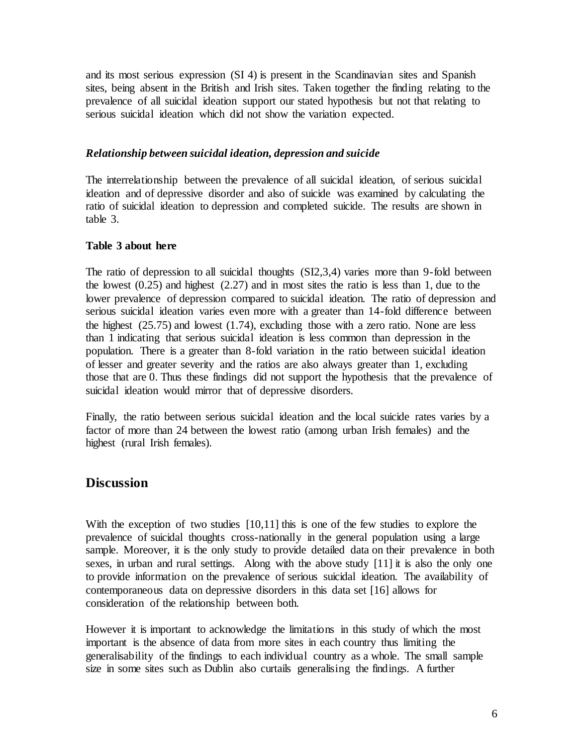and its most serious expression (SI 4) is present in the Scandinavian sites and Spanish sites, being absent in the British and Irish sites. Taken together the finding relating to the prevalence of all suicidal ideation support our stated hypothesis but not that relating to serious suicidal ideation which did not show the variation expected.

#### *Relationship between suicidal ideation, depression and suicide*

The interrelationship between the prevalence of all suicidal ideation, of serious suicidal ideation and of depressive disorder and also of suicide was examined by calculating the ratio of suicidal ideation to depression and completed suicide. The results are shown in table 3.

#### **Table 3 about here**

The ratio of depression to all suicidal thoughts (SI2,3,4) varies more than 9-fold between the lowest (0.25) and highest (2.27) and in most sites the ratio is less than 1, due to the lower prevalence of depression compared to suicidal ideation. The ratio of depression and serious suicidal ideation varies even more with a greater than 14-fold difference between the highest (25.75) and lowest (1.74), excluding those with a zero ratio. None are less than 1 indicating that serious suicidal ideation is less common than depression in the population. There is a greater than 8-fold variation in the ratio between suicidal ideation of lesser and greater severity and the ratios are also always greater than 1, excluding those that are 0. Thus these findings did not support the hypothesis that the prevalence of suicidal ideation would mirror that of depressive disorders.

Finally, the ratio between serious suicidal ideation and the local suicide rates varies by a factor of more than 24 between the lowest ratio (among urban Irish females) and the highest (rural Irish females).

## **Discussion**

With the exception of two studies [10,11] this is one of the few studies to explore the prevalence of suicidal thoughts cross-nationally in the general population using a large sample. Moreover, it is the only study to provide detailed data on their prevalence in both sexes, in urban and rural settings. Along with the above study [11] it is also the only one to provide information on the prevalence of serious suicidal ideation. The availability of contemporaneous data on depressive disorders in this data set [16] allows for consideration of the relationship between both.

However it is important to acknowledge the limitations in this study of which the most important is the absence of data from more sites in each country thus limiting the generalisability of the findings to each individual country as a whole. The small sample size in some sites such as Dublin also curtails generalising the findings. A further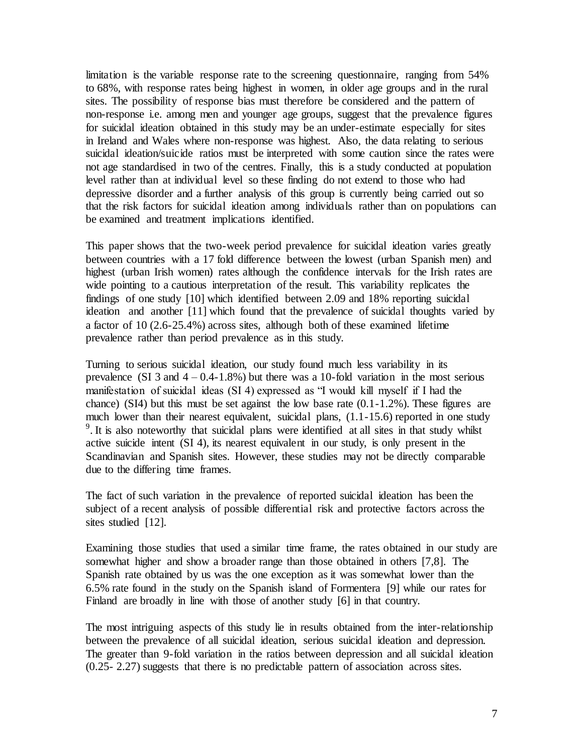limitation is the variable response rate to the screening questionnaire, ranging from 54% to 68%, with response rates being highest in women, in older age groups and in the rural sites. The possibility of response bias must therefore be considered and the pattern of non-response i.e. among men and younger age groups, suggest that the prevalence figures for suicidal ideation obtained in this study may be an under-estimate especially for sites in Ireland and Wales where non-response was highest. Also, the data relating to serious suicidal ideation/suicide ratios must be interpreted with some caution since the rates were not age standardised in two of the centres. Finally, this is a study conducted at population level rather than at individual level so these finding do not extend to those who had depressive disorder and a further analysis of this group is currently being carried out so that the risk factors for suicidal ideation among individuals rather than on populations can be examined and treatment implications identified.

This paper shows that the two-week period prevalence for suicidal ideation varies greatly between countries with a 17 fold difference between the lowest (urban Spanish men) and highest (urban Irish women) rates although the confidence intervals for the Irish rates are wide pointing to a cautious interpretation of the result. This variability replicates the findings of one study [10] which identified between 2.09 and 18% reporting suicidal ideation and another [11] which found that the prevalence of suicidal thoughts varied by a factor of 10 (2.6-25.4%) across sites, although both of these examined lifetime prevalence rather than period prevalence as in this study.

Turning to serious suicidal ideation, our study found much less variability in its prevalence (SI 3 and  $4 - 0.4 - 1.8\%$ ) but there was a 10-fold variation in the most serious manifestation of suicidal ideas (SI 4) expressed as "I would kill myself if I had the chance) (SI4) but this must be set against the low base rate  $(0.1-1.2\%)$ . These figures are much lower than their nearest equivalent, suicidal plans,  $(1.1-15.6)$  reported in one study  $9$ . It is also noteworthy that suicidal plans were identified at all sites in that study whilst active suicide intent (SI 4), its nearest equivalent in our study, is only present in the Scandinavian and Spanish sites. However, these studies may not be directly comparable due to the differing time frames.

The fact of such variation in the prevalence of reported suicidal ideation has been the subject of a recent analysis of possible differential risk and protective factors across the sites studied [12].

Examining those studies that used a similar time frame, the rates obtained in our study are somewhat higher and show a broader range than those obtained in others [7,8]. The Spanish rate obtained by us was the one exception as it was somewhat lower than the 6.5% rate found in the study on the Spanish island of Formentera [9] while our rates for Finland are broadly in line with those of another study [6] in that country.

The most intriguing aspects of this study lie in results obtained from the inter-relationship between the prevalence of all suicidal ideation, serious suicidal ideation and depression. The greater than 9-fold variation in the ratios between depression and all suicidal ideation (0.25- 2.27) suggests that there is no predictable pattern of association across sites.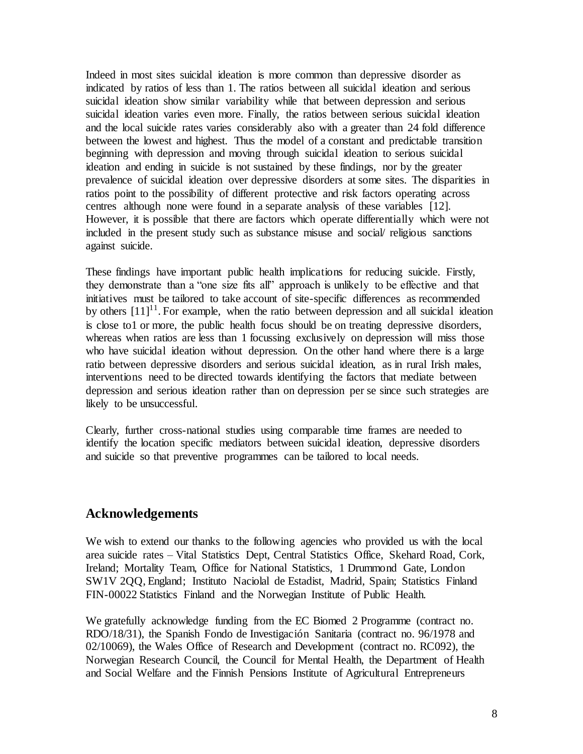Indeed in most sites suicidal ideation is more common than depressive disorder as indicated by ratios of less than 1. The ratios between all suicidal ideation and serious suicidal ideation show similar variability while that between depression and serious suicidal ideation varies even more. Finally, the ratios between serious suicidal ideation and the local suicide rates varies considerably also with a greater than 24 fold difference between the lowest and highest. Thus the model of a constant and predictable transition beginning with depression and moving through suicidal ideation to serious suicidal ideation and ending in suicide is not sustained by these findings, nor by the greater prevalence of suicidal ideation over depressive disorders at some sites. The disparities in ratios point to the possibility of different protective and risk factors operating across centres although none were found in a separate analysis of these variables [12]. However, it is possible that there are factors which operate differentially which were not included in the present study such as substance misuse and social/ religious sanctions against suicide.

These findings have important public health implications for reducing suicide. Firstly, they demonstrate than a "one size fits all" approach is unlikely to be effective and that initiatives must be tailored to take account of site-specific differences as recommended by others  $[11]$ <sup>11</sup>. For example, when the ratio between depression and all suicidal ideation is close to1 or more, the public health focus should be on treating depressive disorders, whereas when ratios are less than 1 focussing exclusively on depression will miss those who have suicidal ideation without depression. On the other hand where there is a large ratio between depressive disorders and serious suicidal ideation, as in rural Irish males, interventions need to be directed towards identifying the factors that mediate between depression and serious ideation rather than on depression per se since such strategies are likely to be unsuccessful.

Clearly, further cross-national studies using comparable time frames are needed to identify the location specific mediators between suicidal ideation, depressive disorders and suicide so that preventive programmes can be tailored to local needs.

### **Acknowledgements**

We wish to extend our thanks to the following agencies who provided us with the local area suicide rates – Vital Statistics Dept, Central Statistics Office, Skehard Road, Cork, Ireland; Mortality Team, Office for National Statistics, 1 Drummond Gate, London SW1V 2QQ, England; Instituto Naciolal de Estadist, Madrid, Spain; Statistics Finland FIN-00022 Statistics Finland and the Norwegian Institute of Public Health.

We gratefully acknowledge funding from the EC Biomed 2 Programme (contract no. RDO/18/31), the Spanish Fondo de Investigación Sanitaria (contract no. 96/1978 and 02/10069), the Wales Office of Research and Development (contract no. RC092), the Norwegian Research Council, the Council for Mental Health, the Department of Health and Social Welfare and the Finnish Pensions Institute of Agricultural Entrepreneurs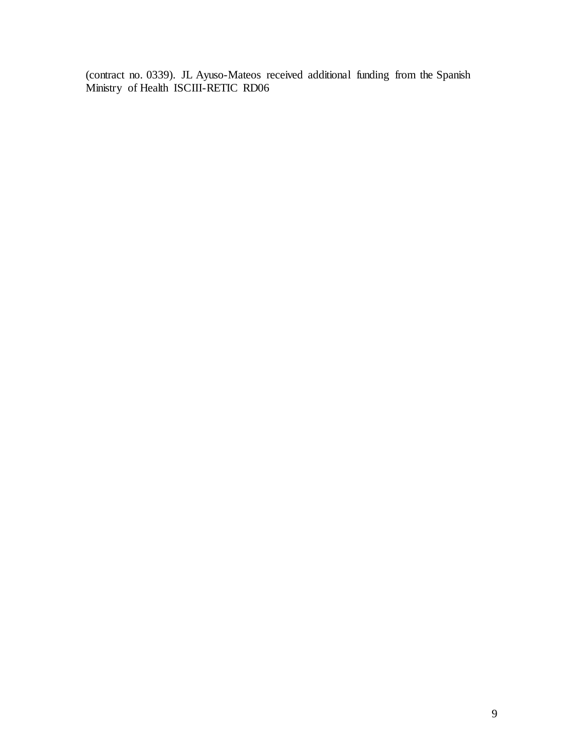(contract no. 0339). JL Ayuso-Mateos received additional funding from the Spanish Ministry of Health ISCIII-RETIC RD06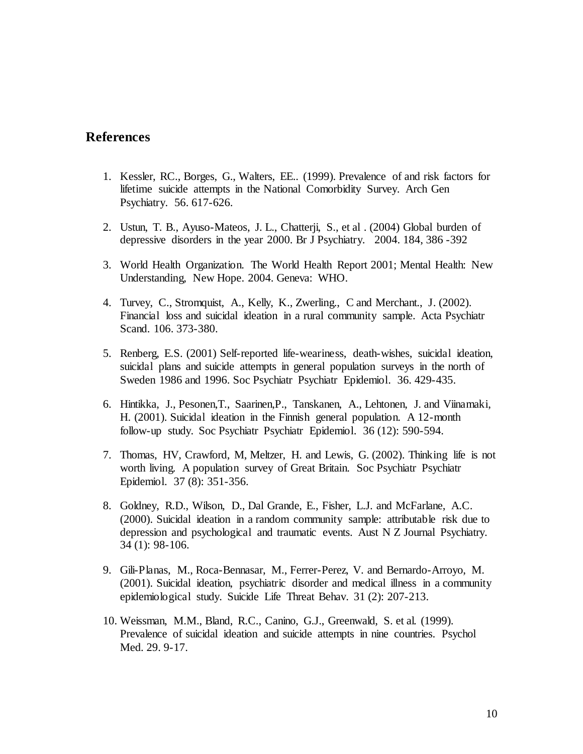### **References**

- 1. Kessler, RC., Borges, G., Walters, EE.. (1999). Prevalence of and risk factors for lifetime suicide attempts in the National Comorbidity Survey. Arch Gen Psychiatry. 56. 617-626.
- 2. Ustun, T. B., Ayuso-Mateos, J. L., Chatterji, S., et al . (2004) Global burden of depressive disorders in the year 2000. Br J Psychiatry. 2004. 184, 386 -392
- 3. World Health Organization. The World Health Report 2001; Mental Health: New Understanding, New Hope. 2004. Geneva: WHO.
- 4. Turvey, C., Stromquist, A., Kelly, K., Zwerling., C and Merchant., J. (2002). Financial loss and suicidal ideation in a rural community sample. Acta Psychiatr Scand. 106. 373-380.
- 5. Renberg, E.S. (2001) Self-reported life-weariness, death-wishes, suicidal ideation, suicidal plans and suicide attempts in general population surveys in the north of Sweden 1986 and 1996. Soc Psychiatr Psychiatr Epidemiol. 36. 429-435.
- 6. Hintikka, J., Pesonen,T., Saarinen,P., Tanskanen, A., Lehtonen, J. and Viinamaki, H. (2001). Suicidal ideation in the Finnish general population. A 12-month follow-up study. Soc Psychiatr Psychiatr Epidemiol. 36 (12): 590-594.
- 7. Thomas, HV, Crawford, M, Meltzer, H. and Lewis, G. (2002). Thinking life is not worth living. A population survey of Great Britain. Soc Psychiatr Psychiatr Epidemiol. 37 (8): 351-356.
- 8. Goldney, R.D., Wilson, D., Dal Grande, E., Fisher, L.J. and McFarlane, A.C. (2000). Suicidal ideation in a random community sample: attributable risk due to depression and psychological and traumatic events. Aust N Z Journal Psychiatry. 34 (1): 98-106.
- 9. Gili-Planas, M., Roca-Bennasar, M., Ferrer-Perez, V. and Bernardo-Arroyo, M. (2001). Suicidal ideation, psychiatric disorder and medical illness in a community epidemiological study. Suicide Life Threat Behav. 31 (2): 207-213.
- 10. Weissman, M.M., Bland, R.C., Canino, G.J., Greenwald, S. et al. (1999). Prevalence of suicidal ideation and suicide attempts in nine countries. Psychol Med. 29. 9-17.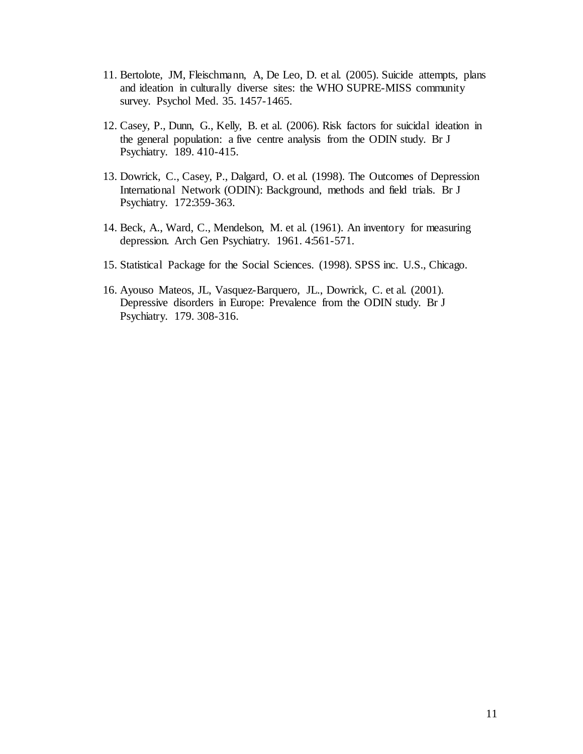- 11. Bertolote, JM, Fleischmann, A, De Leo, D. et al. (2005). Suicide attempts, plans and ideation in culturally diverse sites: the WHO SUPRE-MISS community survey. Psychol Med. 35. 1457-1465.
- 12. Casey, P., Dunn, G., Kelly, B. et al. (2006). Risk factors for suicidal ideation in the general population: a five centre analysis from the ODIN study. Br J Psychiatry. 189. 410-415.
- 13. Dowrick, C., Casey, P., Dalgard, O. et al. (1998). The Outcomes of Depression International Network (ODIN): Background, methods and field trials. Br J Psychiatry. 172:359-363.
- 14. Beck, A., Ward, C., Mendelson, M. et al. (1961). An inventory for measuring depression. Arch Gen Psychiatry. 1961. 4:561-571.
- 15. Statistical Package for the Social Sciences. (1998). SPSS inc. U.S., Chicago.
- 16. Ayouso Mateos, JL, Vasquez-Barquero, JL., Dowrick, C. et al. (2001). Depressive disorders in Europe: Prevalence from the ODIN study. Br J Psychiatry. 179. 308-316.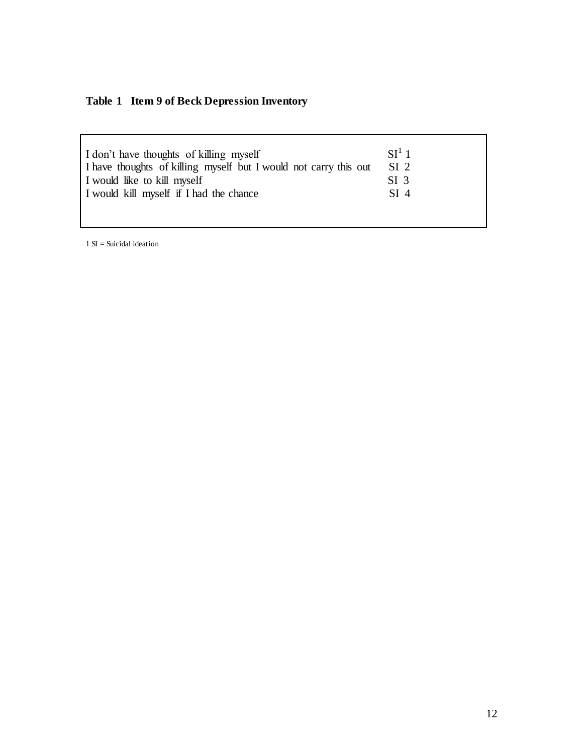# **Table 1 Item 9 of Beck Depression Inventory**

| I don't have thoughts of killing myself                          | $SI^1$ 1        |
|------------------------------------------------------------------|-----------------|
| I have thoughts of killing myself but I would not carry this out | SI <sub>2</sub> |
| I would like to kill myself                                      | SI <sub>3</sub> |
| I would kill myself if I had the chance                          | SI <sub>4</sub> |
|                                                                  |                 |
|                                                                  |                 |

 $1 SI =$ Suicidal ideation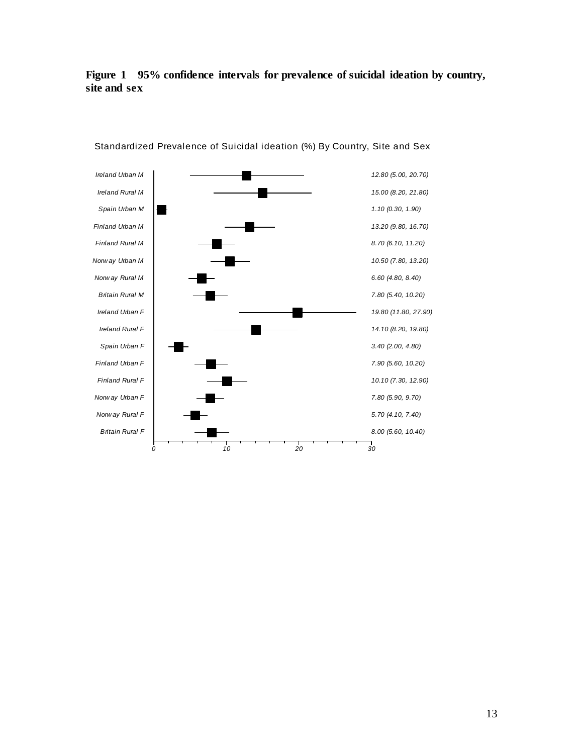### **Figure 1 95% confidence intervals for prevalence of suicidal ideation by country, site and sex**



Standardized Prevalence of Suicidal ideation (%) By Country, Site and Sex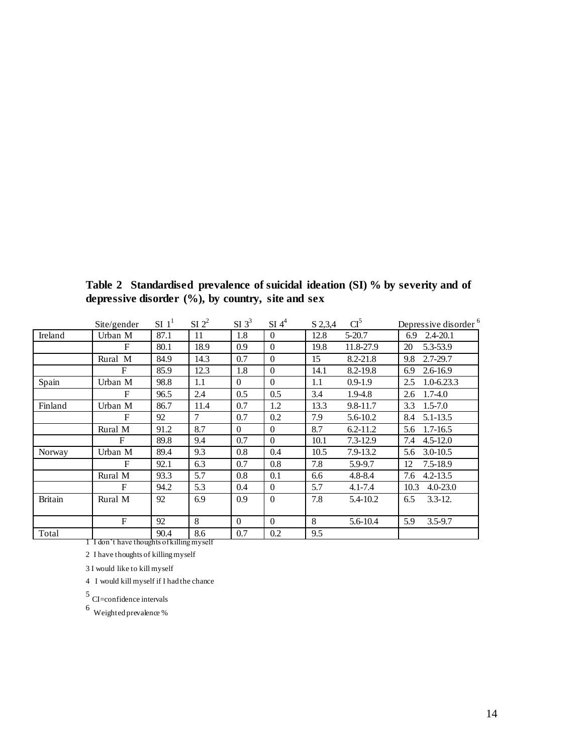|                                           | Site/gender  | $SI$ $11$ | $SI$ $2^2$ | $SI$ 3 <sup>3</sup> | $SI$ 4 <sup>4</sup> | S 2,3,4 | CI <sup>5</sup> | Depressive disorder <sup>6</sup> |
|-------------------------------------------|--------------|-----------|------------|---------------------|---------------------|---------|-----------------|----------------------------------|
| Ireland                                   | Urban M      | 87.1      | 11         | 1.8                 | $\Omega$            | 12.8    | $5 - 20.7$      | $2.4 - 20.1$<br>6.9              |
|                                           | F            | 80.1      | 18.9       | 0.9                 | $\Omega$            | 19.8    | 11.8-27.9       | 5.3-53.9<br>20                   |
|                                           | Rural M      | 84.9      | 14.3       | 0.7                 | $\Omega$            | 15      | 8.2-21.8        | $2.7 - 29.7$<br>9.8              |
|                                           | F            | 85.9      | 12.3       | 1.8                 | $\Omega$            | 14.1    | 8.2-19.8        | $2.6 - 16.9$<br>6.9              |
| Spain                                     | Urban M      | 98.8      | $1.1\,$    | $\overline{0}$      | $\Omega$            | 1.1     | $0.9 - 1.9$     | $1.0 - 6.23.3$<br>2.5            |
|                                           | F            | 96.5      | 2.4        | 0.5                 | 0.5                 | 3.4     | 1.9-4.8         | $1.7 - 4.0$<br>2.6               |
| Finland                                   | Urban M      | 86.7      | 11.4       | 0.7                 | 1.2                 | 13.3    | $9.8 - 11.7$    | $1.5 - 7.0$<br>3.3               |
|                                           | F            | 92        | 7          | 0.7                 | 0.2                 | 7.9     | 5.6-10.2        | $5.1 - 13.5$<br>8.4              |
|                                           | Rural M      | 91.2      | 8.7        | $\theta$            | $\Omega$            | 8.7     | $6.2 - 11.2$    | $1.7 - 16.5$<br>5.6              |
|                                           | F            | 89.8      | 9.4        | 0.7                 | $\Omega$            | 10.1    | $7.3 - 12.9$    | 7.4<br>$4.5 - 12.0$              |
| Norway                                    | Urban M      | 89.4      | 9.3        | 0.8                 | 0.4                 | 10.5    | 7.9-13.2        | $3.0 - 10.5$<br>5.6              |
|                                           | F            | 92.1      | 6.3        | 0.7                 | 0.8                 | 7.8     | 5.9-9.7         | $7.5 - 18.9$<br>12               |
|                                           | Rural M      | 93.3      | 5.7        | 0.8                 | 0.1                 | 6.6     | $4.8 - 8.4$     | 7.6<br>$4.2 - 13.5$              |
|                                           | F            | 94.2      | 5.3        | 0.4                 | $\overline{0}$      | 5.7     | $4.1 - 7.4$     | $4.0 - 23.0$<br>10.3             |
| <b>Britain</b>                            | Rural M      | 92        | 6.9        | 0.9                 | $\Omega$            | 7.8     | 5.4-10.2        | $3.3 - 12.$<br>6.5               |
|                                           | $\mathbf{F}$ | 92        | 8          | $\theta$            | $\Omega$            | 8       | 5.6-10.4        | 5.9<br>$3.5 - 9.7$               |
| Total                                     |              | 90.4      | 8.6        | 0.7                 | 0.2                 | 9.5     |                 |                                  |
| 1 I don't have thoughts of killing myself |              |           |            |                     |                     |         |                 |                                  |

**Table 2 Standardised prevalence of suicidal ideation (SI) % by severity and of depressive disorder (%), by country, site and sex**

2 I have thoughts of killing myself

3 I would like to kill myself

4 I would kill myself if I had the chance

5 CI=confidence intervals

6 Weighted prevalence %